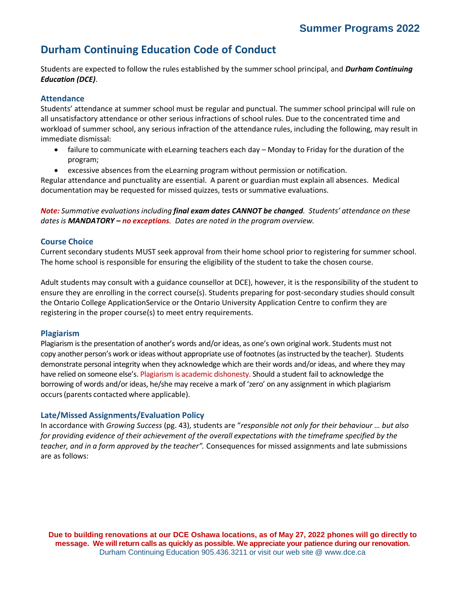# **Durham Continuing Education Code of Conduct**

Students are expected to follow the rules established by the summer school principal, and *Durham Continuing Education (DCE)*.

## **Attendance**

Students' attendance at summer school must be regular and punctual. The summer school principal will rule on all unsatisfactory attendance or other serious infractions of school rules. Due to the concentrated time and workload of summer school, any serious infraction of the attendance rules, including the following, may result in immediate dismissal:

- failure to communicate with eLearning teachers each day Monday to Friday for the duration of the program;
- excessive absences from the eLearning program without permission or notification.

Regular attendance and punctuality are essential. A parent or guardian must explain all absences. Medical documentation may be requested for missed quizzes, tests or summative evaluations.

*Note: Summative evaluations including final exam dates CANNOT be changed. Students' attendance on these dates is MANDATORY – no exceptions. Dates are noted in the program overview.*

## **Course Choice**

Current secondary students MUST seek approval from their home school prior to registering for summer school. The home school is responsible for ensuring the eligibility of the student to take the chosen course.

Adult students may consult with a guidance counsellor at DCE), however, it is the responsibility of the student to ensure they are enrolling in the correct course(s). Students preparing for post-secondary studies should consult the Ontario College ApplicationService or the Ontario University Application Centre to confirm they are registering in the proper course(s) to meet entry requirements.

## **Plagiarism**

Plagiarism is the presentation of another's words and/or ideas, as one's own original work. Students must not copy another person's work or ideas without appropriate use of footnotes (as instructed by the teacher). Students demonstrate personal integrity when they acknowledge which are their words and/or ideas, and where they may have relied on someone else's. Plagiarism is academic dishonesty. Should a student fail to acknowledge the borrowing of words and/or ideas, he/she may receive a mark of 'zero' on any assignment in which plagiarism occurs(parents contacted where applicable).

## **Late/Missed Assignments/Evaluation Policy**

In accordance with *Growing Success* (pg. 43), students are "*responsible not only for their behaviour … but also for providing evidence of their achievement of the overall expectations with the timeframe specified by the teacher, and in a form approved by the teacher".* Consequences for missed assignments and late submissions are as follows:

**Due to building renovations at our DCE Oshawa locations, as of May 27, 2022 phones will go directly to message. We will return calls as quickly as possible. We appreciate your patience during our renovation.** Durham Continuing Education 905.436.3211 or visit our web site @ [www.dce.ca](http://www.dce.ca/)